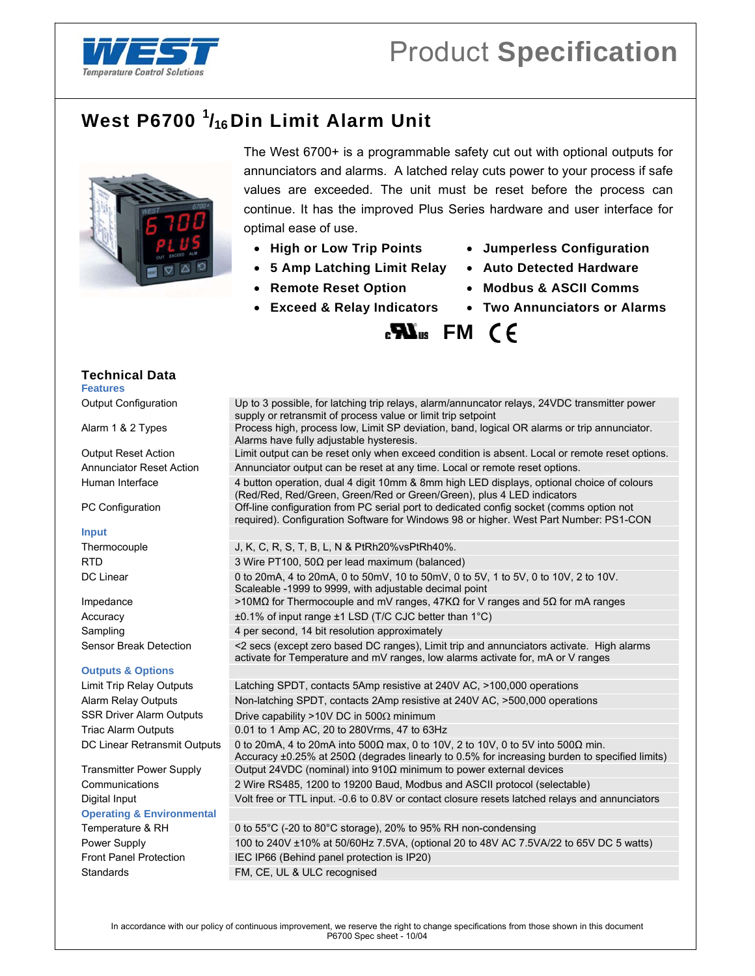

## **West P6700 <sup>1</sup> /16Din Limit Alarm Unit**



The West 6700+ is a programmable safety cut out with optional outputs for annunciators and alarms. A latched relay cuts power to your process if safe values are exceeded. The unit must be reset before the process can continue. It has the improved Plus Series hardware and user interface for optimal ease of use.

- 
- **5 Amp Latching Limit Relay Auto Detected Hardware**
- 
- **Exceed & Relay Indicators Two Annunciators or Alarms**
- **High or Low Trip Points Jumperless Configuration** 
	-
- **Remote Reset Option Modbus & ASCII Comms** 
	-

**EXI**<sub>us</sub> FM (E)

| Output Configuration                 | Up to 3 possible, for latching trip relays, alarm/annuncator relays, 24VDC transmitter power<br>supply or retransmit of process value or limit trip setpoint                                    |
|--------------------------------------|-------------------------------------------------------------------------------------------------------------------------------------------------------------------------------------------------|
| Alarm 1 & 2 Types                    | Process high, process low, Limit SP deviation, band, logical OR alarms or trip annunciator.<br>Alarms have fully adjustable hysteresis.                                                         |
| <b>Output Reset Action</b>           | Limit output can be reset only when exceed condition is absent. Local or remote reset options.                                                                                                  |
| <b>Annunciator Reset Action</b>      | Annunciator output can be reset at any time. Local or remote reset options.                                                                                                                     |
| Human Interface                      | 4 button operation, dual 4 digit 10mm & 8mm high LED displays, optional choice of colours<br>(Red/Red, Red/Green, Green/Red or Green/Green), plus 4 LED indicators                              |
| PC Configuration                     | Off-line configuration from PC serial port to dedicated config socket (comms option not<br>required). Configuration Software for Windows 98 or higher. West Part Number: PS1-CON                |
| <b>Input</b>                         |                                                                                                                                                                                                 |
| Thermocouple                         | J, K, C, R, S, T, B, L, N & PtRh20% vsPtRh40%.                                                                                                                                                  |
| <b>RTD</b>                           | 3 Wire PT100, 50 $\Omega$ per lead maximum (balanced)                                                                                                                                           |
| DC Linear                            | 0 to 20mA, 4 to 20mA, 0 to 50mV, 10 to 50mV, 0 to 5V, 1 to 5V, 0 to 10V, 2 to 10V.<br>Scaleable -1999 to 9999, with adjustable decimal point                                                    |
| Impedance                            | >10MΩ for Thermocouple and mV ranges, 47KΩ for V ranges and 5Ω for mA ranges                                                                                                                    |
| Accuracy                             | $\pm 0.1\%$ of input range $\pm 1$ LSD (T/C CJC better than 1°C)                                                                                                                                |
| Sampling                             | 4 per second, 14 bit resolution approximately                                                                                                                                                   |
| Sensor Break Detection               | <2 secs (except zero based DC ranges), Limit trip and annunciators activate. High alarms<br>activate for Temperature and mV ranges, low alarms activate for, mA or V ranges                     |
| <b>Outputs &amp; Options</b>         |                                                                                                                                                                                                 |
| Limit Trip Relay Outputs             | Latching SPDT, contacts 5Amp resistive at 240V AC, >100,000 operations                                                                                                                          |
| Alarm Relay Outputs                  | Non-latching SPDT, contacts 2Amp resistive at 240V AC, >500,000 operations                                                                                                                      |
| <b>SSR Driver Alarm Outputs</b>      | Drive capability >10V DC in 500 $\Omega$ minimum                                                                                                                                                |
| <b>Triac Alarm Outputs</b>           | 0.01 to 1 Amp AC, 20 to 280 Vrms, 47 to 63 Hz                                                                                                                                                   |
| DC Linear Retransmit Outputs         | 0 to 20mA, 4 to 20mA into 500 $\Omega$ max, 0 to 10V, 2 to 10V, 0 to 5V into 500 $\Omega$ min.<br>Accuracy ±0.25% at 250Ω (degrades linearly to 0.5% for increasing burden to specified limits) |
| <b>Transmitter Power Supply</b>      | Output 24VDC (nominal) into $910\Omega$ minimum to power external devices                                                                                                                       |
| Communications                       | 2 Wire RS485, 1200 to 19200 Baud, Modbus and ASCII protocol (selectable)                                                                                                                        |
| Digital Input                        | Volt free or TTL input. -0.6 to 0.8V or contact closure resets latched relays and annunciators                                                                                                  |
| <b>Operating &amp; Environmental</b> |                                                                                                                                                                                                 |
| Temperature & RH                     | 0 to $55^{\circ}$ C (-20 to $80^{\circ}$ C storage), 20% to 95% RH non-condensing                                                                                                               |
| Power Supply                         | 100 to 240V ±10% at 50/60Hz 7.5VA, (optional 20 to 48V AC 7.5VA/22 to 65V DC 5 watts)                                                                                                           |
| <b>Front Panel Protection</b>        | IEC IP66 (Behind panel protection is IP20)                                                                                                                                                      |
| Standards                            | FM, CE, UL & ULC recognised                                                                                                                                                                     |
|                                      |                                                                                                                                                                                                 |

**Technical Data** 

**Features** 

## **Input**

## **Outputs & O**

## Temperature<br>